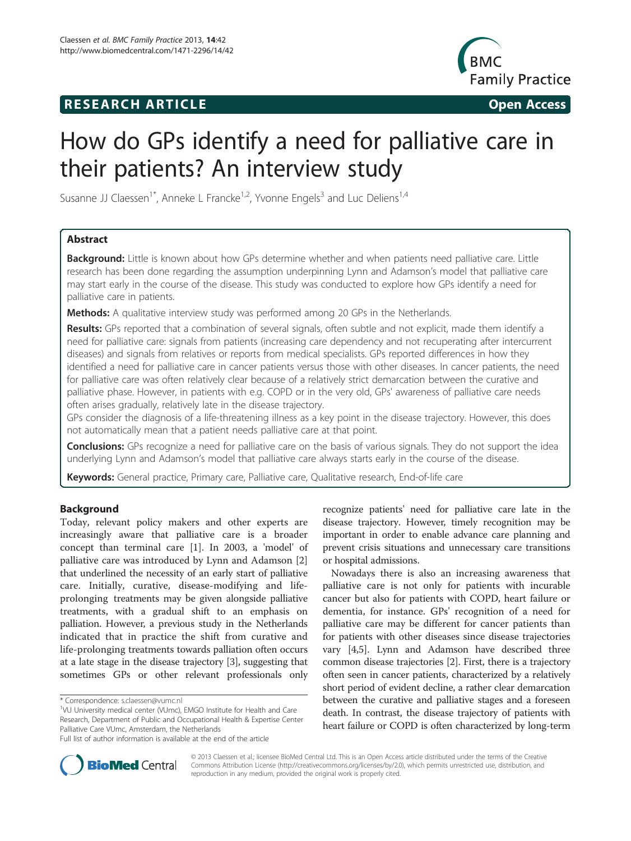## **RESEARCH ARTICLE Example 2018 12:00 Open Access**



# How do GPs identify a need for palliative care in their patients? An interview study

Susanne JJ Claessen<sup>1\*</sup>, Anneke L Francke<sup>1,2</sup>, Yvonne Engels<sup>3</sup> and Luc Deliens<sup>1,4</sup>

## Abstract

Background: Little is known about how GPs determine whether and when patients need palliative care. Little research has been done regarding the assumption underpinning Lynn and Adamson's model that palliative care may start early in the course of the disease. This study was conducted to explore how GPs identify a need for palliative care in patients.

Methods: A qualitative interview study was performed among 20 GPs in the Netherlands.

Results: GPs reported that a combination of several signals, often subtle and not explicit, made them identify a need for palliative care: signals from patients (increasing care dependency and not recuperating after intercurrent diseases) and signals from relatives or reports from medical specialists. GPs reported differences in how they identified a need for palliative care in cancer patients versus those with other diseases. In cancer patients, the need for palliative care was often relatively clear because of a relatively strict demarcation between the curative and palliative phase. However, in patients with e.g. COPD or in the very old, GPs' awareness of palliative care needs often arises gradually, relatively late in the disease trajectory.

GPs consider the diagnosis of a life-threatening illness as a key point in the disease trajectory. However, this does not automatically mean that a patient needs palliative care at that point.

Conclusions: GPs recognize a need for palliative care on the basis of various signals. They do not support the idea underlying Lynn and Adamson's model that palliative care always starts early in the course of the disease.

Keywords: General practice, Primary care, Palliative care, Qualitative research, End-of-life care

## Background

Today, relevant policy makers and other experts are increasingly aware that palliative care is a broader concept than terminal care [\[1](#page-6-0)]. In 2003, a 'model' of palliative care was introduced by Lynn and Adamson [\[2](#page-6-0)] that underlined the necessity of an early start of palliative care. Initially, curative, disease-modifying and lifeprolonging treatments may be given alongside palliative treatments, with a gradual shift to an emphasis on palliation. However, a previous study in the Netherlands indicated that in practice the shift from curative and life-prolonging treatments towards palliation often occurs at a late stage in the disease trajectory [\[3\]](#page-6-0), suggesting that sometimes GPs or other relevant professionals only

recognize patients' need for palliative care late in the disease trajectory. However, timely recognition may be important in order to enable advance care planning and prevent crisis situations and unnecessary care transitions or hospital admissions.

Nowadays there is also an increasing awareness that palliative care is not only for patients with incurable cancer but also for patients with COPD, heart failure or dementia, for instance. GPs' recognition of a need for palliative care may be different for cancer patients than for patients with other diseases since disease trajectories vary [[4,5\]](#page-6-0). Lynn and Adamson have described three common disease trajectories [[2\]](#page-6-0). First, there is a trajectory often seen in cancer patients, characterized by a relatively short period of evident decline, a rather clear demarcation between the curative and palliative stages and a foreseen death. In contrast, the disease trajectory of patients with heart failure or COPD is often characterized by long-term



© 2013 Claessen et al.; licensee BioMed Central Ltd. This is an Open Access article distributed under the terms of the Creative Commons Attribution License [\(http://creativecommons.org/licenses/by/2.0\)](http://creativecommons.org/licenses/by/2.0), which permits unrestricted use, distribution, and reproduction in any medium, provided the original work is properly cited.

<sup>\*</sup> Correspondence: [s.claessen@vumc.nl](mailto:s.claessen@vumc.nl) <sup>1</sup>

VU University medical center (VUmc), EMGO Institute for Health and Care Research, Department of Public and Occupational Health & Expertise Center Palliative Care VUmc, Amsterdam, the Netherlands

Full list of author information is available at the end of the article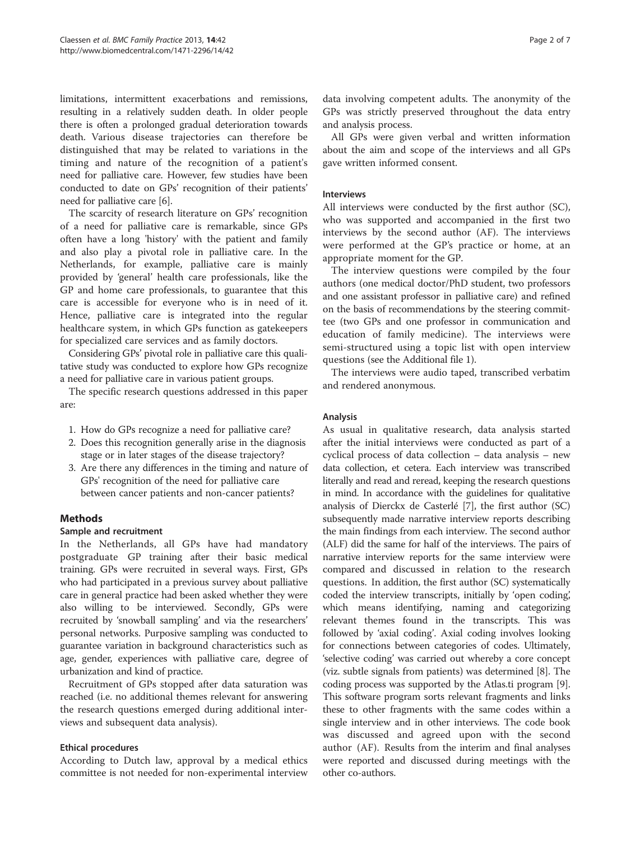limitations, intermittent exacerbations and remissions, resulting in a relatively sudden death. In older people there is often a prolonged gradual deterioration towards death. Various disease trajectories can therefore be distinguished that may be related to variations in the timing and nature of the recognition of a patient's need for palliative care. However, few studies have been conducted to date on GPs' recognition of their patients' need for palliative care [[6\]](#page-6-0).

The scarcity of research literature on GPs' recognition of a need for palliative care is remarkable, since GPs often have a long 'history' with the patient and family and also play a pivotal role in palliative care. In the Netherlands, for example, palliative care is mainly provided by 'general' health care professionals, like the GP and home care professionals, to guarantee that this care is accessible for everyone who is in need of it. Hence, palliative care is integrated into the regular healthcare system, in which GPs function as gatekeepers for specialized care services and as family doctors.

Considering GPs' pivotal role in palliative care this qualitative study was conducted to explore how GPs recognize a need for palliative care in various patient groups.

The specific research questions addressed in this paper are:

- 1. How do GPs recognize a need for palliative care?
- 2. Does this recognition generally arise in the diagnosis stage or in later stages of the disease trajectory?
- 3. Are there any differences in the timing and nature of GPs' recognition of the need for palliative care between cancer patients and non-cancer patients?

## Methods

## Sample and recruitment

In the Netherlands, all GPs have had mandatory postgraduate GP training after their basic medical training. GPs were recruited in several ways. First, GPs who had participated in a previous survey about palliative care in general practice had been asked whether they were also willing to be interviewed. Secondly, GPs were recruited by 'snowball sampling' and via the researchers' personal networks. Purposive sampling was conducted to guarantee variation in background characteristics such as age, gender, experiences with palliative care, degree of urbanization and kind of practice.

Recruitment of GPs stopped after data saturation was reached (i.e. no additional themes relevant for answering the research questions emerged during additional interviews and subsequent data analysis).

## Ethical procedures

According to Dutch law, approval by a medical ethics committee is not needed for non-experimental interview data involving competent adults. The anonymity of the GPs was strictly preserved throughout the data entry and analysis process.

All GPs were given verbal and written information about the aim and scope of the interviews and all GPs gave written informed consent.

#### Interviews

All interviews were conducted by the first author (SC), who was supported and accompanied in the first two interviews by the second author (AF). The interviews were performed at the GP's practice or home, at an appropriate moment for the GP.

The interview questions were compiled by the four authors (one medical doctor/PhD student, two professors and one assistant professor in palliative care) and refined on the basis of recommendations by the steering committee (two GPs and one professor in communication and education of family medicine). The interviews were semi-structured using a topic list with open interview questions (see the Additional file [1\)](#page-5-0).

The interviews were audio taped, transcribed verbatim and rendered anonymous.

#### Analysis

As usual in qualitative research, data analysis started after the initial interviews were conducted as part of a cyclical process of data collection – data analysis – new data collection, et cetera. Each interview was transcribed literally and read and reread, keeping the research questions in mind. In accordance with the guidelines for qualitative analysis of Dierckx de Casterlé [[7\]](#page-6-0), the first author (SC) subsequently made narrative interview reports describing the main findings from each interview. The second author (ALF) did the same for half of the interviews. The pairs of narrative interview reports for the same interview were compared and discussed in relation to the research questions. In addition, the first author (SC) systematically coded the interview transcripts, initially by 'open coding', which means identifying, naming and categorizing relevant themes found in the transcripts. This was followed by 'axial coding'. Axial coding involves looking for connections between categories of codes. Ultimately, 'selective coding' was carried out whereby a core concept (viz. subtle signals from patients) was determined [[8](#page-6-0)]. The coding process was supported by the Atlas.ti program [[9](#page-6-0)]. This software program sorts relevant fragments and links these to other fragments with the same codes within a single interview and in other interviews. The code book was discussed and agreed upon with the second author (AF). Results from the interim and final analyses were reported and discussed during meetings with the other co-authors.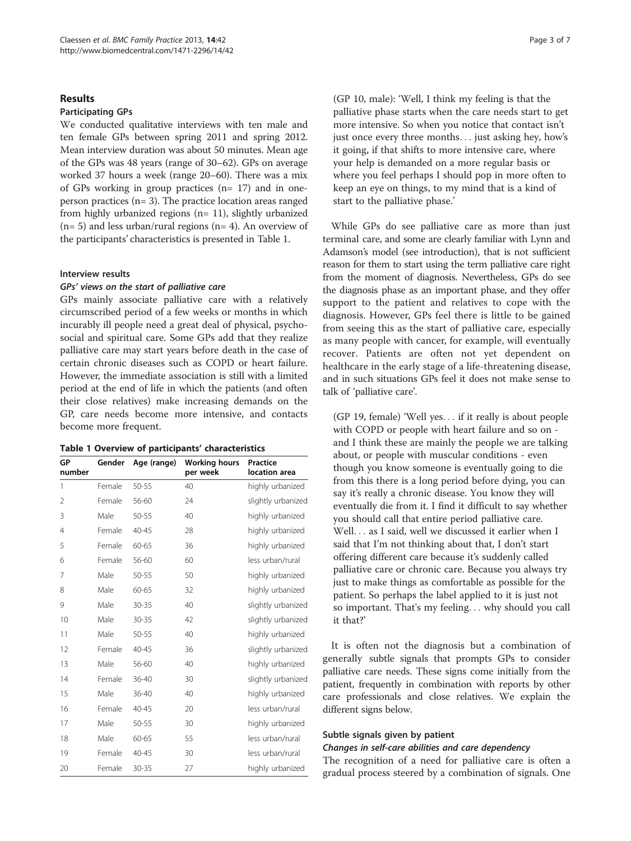#### Results

#### Participating GPs

We conducted qualitative interviews with ten male and ten female GPs between spring 2011 and spring 2012. Mean interview duration was about 50 minutes. Mean age of the GPs was 48 years (range of 30–62). GPs on average worked 37 hours a week (range 20–60). There was a mix of GPs working in group practices  $(n= 17)$  and in oneperson practices (n= 3). The practice location areas ranged from highly urbanized regions (n= 11), slightly urbanized  $(n= 5)$  and less urban/rural regions  $(n= 4)$ . An overview of the participants' characteristics is presented in Table 1.

#### Interview results

#### GPs' views on the start of palliative care

GPs mainly associate palliative care with a relatively circumscribed period of a few weeks or months in which incurably ill people need a great deal of physical, psychosocial and spiritual care. Some GPs add that they realize palliative care may start years before death in the case of certain chronic diseases such as COPD or heart failure. However, the immediate association is still with a limited period at the end of life in which the patients (and often their close relatives) make increasing demands on the GP, care needs become more intensive, and contacts become more frequent.

| GP<br>number   | Gender | Age (range) | <b>Working hours</b><br>per week | <b>Practice</b><br>location area |
|----------------|--------|-------------|----------------------------------|----------------------------------|
| 1              | Female | 50-55       | 40                               | highly urbanized                 |
| $\overline{2}$ | Female | $56 - 60$   | 24                               | slightly urbanized               |
| 3              | Male   | 50-55       | 40                               | highly urbanized                 |
| 4              | Female | $40 - 45$   | 28                               | highly urbanized                 |
| 5              | Female | 60-65       | 36                               | highly urbanized                 |
| 6              | Female | 56-60       | 60                               | less urban/rural                 |
| 7              | Male   | 50-55       | 50                               | highly urbanized                 |
| 8              | Male   | 60-65       | 32                               | highly urbanized                 |
| 9              | Male   | $30 - 35$   | 40                               | slightly urbanized               |
| 10             | Male   | $30 - 35$   | 42                               | slightly urbanized               |
| 11             | Male   | 50-55       | 40                               | highly urbanized                 |
| 12             | Female | $40 - 45$   | 36                               | slightly urbanized               |
| 13             | Male   | 56-60       | 40                               | highly urbanized                 |
| 14             | Female | 36-40       | 30                               | slightly urbanized               |
| 15             | Male   | $36 - 40$   | 40                               | highly urbanized                 |
| 16             | Female | $40 - 45$   | 20                               | less urban/rural                 |
| 17             | Male   | $50 - 55$   | 30                               | highly urbanized                 |
| 18             | Male   | 60-65       | 55                               | less urban/rural                 |
| 19             | Female | $40 - 45$   | 30                               | less urban/rural                 |
| 20             | Female | $30 - 35$   | 27                               | highly urbanized                 |

(GP 10, male): 'Well, I think my feeling is that the palliative phase starts when the care needs start to get more intensive. So when you notice that contact isn't just once every three months... just asking hey, how's it going, if that shifts to more intensive care, where your help is demanded on a more regular basis or where you feel perhaps I should pop in more often to keep an eye on things, to my mind that is a kind of start to the palliative phase.'

While GPs do see palliative care as more than just terminal care, and some are clearly familiar with Lynn and Adamson's model (see introduction), that is not sufficient reason for them to start using the term palliative care right from the moment of diagnosis. Nevertheless, GPs do see the diagnosis phase as an important phase, and they offer support to the patient and relatives to cope with the diagnosis. However, GPs feel there is little to be gained from seeing this as the start of palliative care, especially as many people with cancer, for example, will eventually recover. Patients are often not yet dependent on healthcare in the early stage of a life-threatening disease, and in such situations GPs feel it does not make sense to talk of 'palliative care'.

(GP 19, female) 'Well yes... if it really is about people with COPD or people with heart failure and so on and I think these are mainly the people we are talking about, or people with muscular conditions - even though you know someone is eventually going to die from this there is a long period before dying, you can say it's really a chronic disease. You know they will eventually die from it. I find it difficult to say whether you should call that entire period palliative care. Well... as I said, well we discussed it earlier when I said that I'm not thinking about that, I don't start offering different care because it's suddenly called palliative care or chronic care. Because you always try just to make things as comfortable as possible for the patient. So perhaps the label applied to it is just not so important. That's my feeling... why should you call it that?'

It is often not the diagnosis but a combination of generally subtle signals that prompts GPs to consider palliative care needs. These signs come initially from the patient, frequently in combination with reports by other care professionals and close relatives. We explain the different signs below.

#### Subtle signals given by patient

## Changes in self-care abilities and care dependency

The recognition of a need for palliative care is often a gradual process steered by a combination of signals. One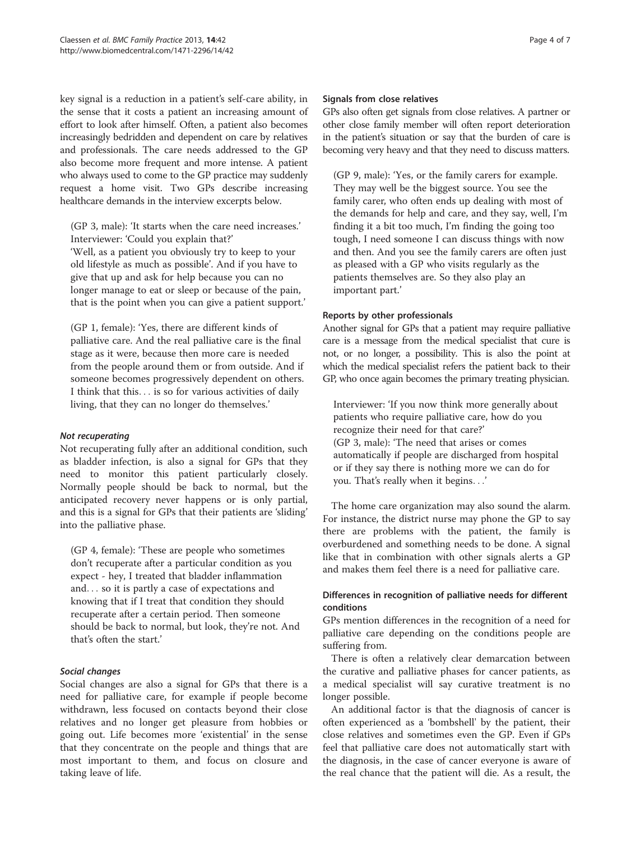key signal is a reduction in a patient's self-care ability, in the sense that it costs a patient an increasing amount of effort to look after himself. Often, a patient also becomes increasingly bedridden and dependent on care by relatives and professionals. The care needs addressed to the GP also become more frequent and more intense. A patient who always used to come to the GP practice may suddenly request a home visit. Two GPs describe increasing healthcare demands in the interview excerpts below.

(GP 3, male): 'It starts when the care need increases.' Interviewer: 'Could you explain that?'

'Well, as a patient you obviously try to keep to your old lifestyle as much as possible'. And if you have to give that up and ask for help because you can no longer manage to eat or sleep or because of the pain, that is the point when you can give a patient support.'

(GP 1, female): 'Yes, there are different kinds of palliative care. And the real palliative care is the final stage as it were, because then more care is needed from the people around them or from outside. And if someone becomes progressively dependent on others. I think that this... is so for various activities of daily living, that they can no longer do themselves.'

## Not recuperating

Not recuperating fully after an additional condition, such as bladder infection, is also a signal for GPs that they need to monitor this patient particularly closely. Normally people should be back to normal, but the anticipated recovery never happens or is only partial, and this is a signal for GPs that their patients are 'sliding' into the palliative phase.

(GP 4, female): 'These are people who sometimes don't recuperate after a particular condition as you expect - hey, I treated that bladder inflammation and... so it is partly a case of expectations and knowing that if I treat that condition they should recuperate after a certain period. Then someone should be back to normal, but look, they're not. And that's often the start.'

## Social changes

Social changes are also a signal for GPs that there is a need for palliative care, for example if people become withdrawn, less focused on contacts beyond their close relatives and no longer get pleasure from hobbies or going out. Life becomes more 'existential' in the sense that they concentrate on the people and things that are most important to them, and focus on closure and taking leave of life.

#### Signals from close relatives

GPs also often get signals from close relatives. A partner or other close family member will often report deterioration in the patient's situation or say that the burden of care is becoming very heavy and that they need to discuss matters.

(GP 9, male): 'Yes, or the family carers for example. They may well be the biggest source. You see the family carer, who often ends up dealing with most of the demands for help and care, and they say, well, I'm finding it a bit too much, I'm finding the going too tough, I need someone I can discuss things with now and then. And you see the family carers are often just as pleased with a GP who visits regularly as the patients themselves are. So they also play an important part.'

## Reports by other professionals

Another signal for GPs that a patient may require palliative care is a message from the medical specialist that cure is not, or no longer, a possibility. This is also the point at which the medical specialist refers the patient back to their GP, who once again becomes the primary treating physician.

Interviewer: 'If you now think more generally about patients who require palliative care, how do you recognize their need for that care?' (GP 3, male): 'The need that arises or comes automatically if people are discharged from hospital or if they say there is nothing more we can do for you. That's really when it begins...'

The home care organization may also sound the alarm. For instance, the district nurse may phone the GP to say there are problems with the patient, the family is overburdened and something needs to be done. A signal like that in combination with other signals alerts a GP and makes them feel there is a need for palliative care.

## Differences in recognition of palliative needs for different conditions

GPs mention differences in the recognition of a need for palliative care depending on the conditions people are suffering from.

There is often a relatively clear demarcation between the curative and palliative phases for cancer patients, as a medical specialist will say curative treatment is no longer possible.

An additional factor is that the diagnosis of cancer is often experienced as a 'bombshell' by the patient, their close relatives and sometimes even the GP. Even if GPs feel that palliative care does not automatically start with the diagnosis, in the case of cancer everyone is aware of the real chance that the patient will die. As a result, the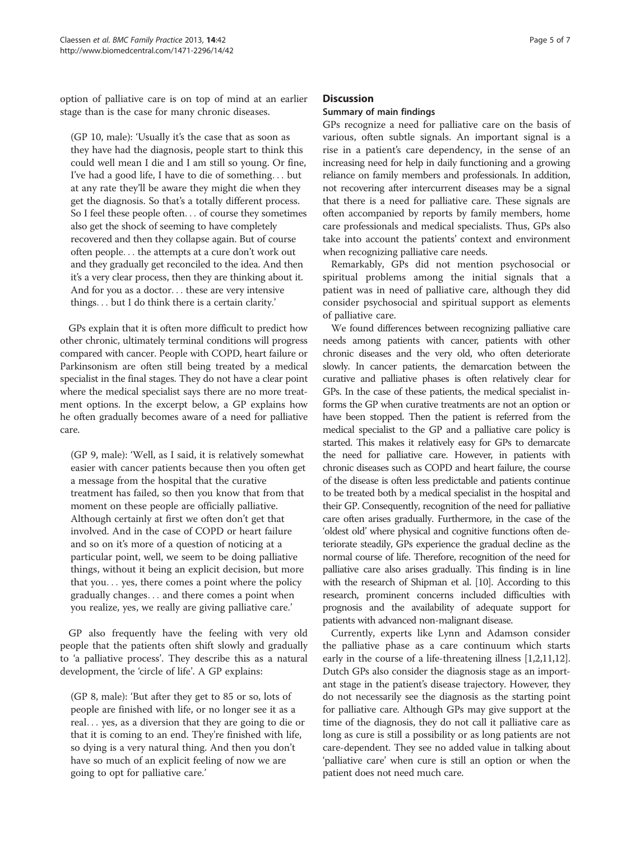option of palliative care is on top of mind at an earlier stage than is the case for many chronic diseases.

(GP 10, male): 'Usually it's the case that as soon as they have had the diagnosis, people start to think this could well mean I die and I am still so young. Or fine, I've had a good life, I have to die of something... but at any rate they'll be aware they might die when they get the diagnosis. So that's a totally different process. So I feel these people often... of course they sometimes also get the shock of seeming to have completely recovered and then they collapse again. But of course often people... the attempts at a cure don't work out and they gradually get reconciled to the idea. And then it's a very clear process, then they are thinking about it. And for you as a doctor... these are very intensive things... but I do think there is a certain clarity.'

GPs explain that it is often more difficult to predict how other chronic, ultimately terminal conditions will progress compared with cancer. People with COPD, heart failure or Parkinsonism are often still being treated by a medical specialist in the final stages. They do not have a clear point where the medical specialist says there are no more treatment options. In the excerpt below, a GP explains how he often gradually becomes aware of a need for palliative care.

(GP 9, male): 'Well, as I said, it is relatively somewhat easier with cancer patients because then you often get a message from the hospital that the curative treatment has failed, so then you know that from that moment on these people are officially palliative. Although certainly at first we often don't get that involved. And in the case of COPD or heart failure and so on it's more of a question of noticing at a particular point, well, we seem to be doing palliative things, without it being an explicit decision, but more that you... yes, there comes a point where the policy gradually changes... and there comes a point when you realize, yes, we really are giving palliative care.'

GP also frequently have the feeling with very old people that the patients often shift slowly and gradually to 'a palliative process'. They describe this as a natural development, the 'circle of life'. A GP explains:

(GP 8, male): 'But after they get to 85 or so, lots of people are finished with life, or no longer see it as a real... yes, as a diversion that they are going to die or that it is coming to an end. They're finished with life, so dying is a very natural thing. And then you don't have so much of an explicit feeling of now we are going to opt for palliative care.'

## **Discussion**

#### Summary of main findings

GPs recognize a need for palliative care on the basis of various, often subtle signals. An important signal is a rise in a patient's care dependency, in the sense of an increasing need for help in daily functioning and a growing reliance on family members and professionals. In addition, not recovering after intercurrent diseases may be a signal that there is a need for palliative care. These signals are often accompanied by reports by family members, home care professionals and medical specialists. Thus, GPs also take into account the patients' context and environment when recognizing palliative care needs.

Remarkably, GPs did not mention psychosocial or spiritual problems among the initial signals that a patient was in need of palliative care, although they did consider psychosocial and spiritual support as elements of palliative care.

We found differences between recognizing palliative care needs among patients with cancer, patients with other chronic diseases and the very old, who often deteriorate slowly. In cancer patients, the demarcation between the curative and palliative phases is often relatively clear for GPs. In the case of these patients, the medical specialist informs the GP when curative treatments are not an option or have been stopped. Then the patient is referred from the medical specialist to the GP and a palliative care policy is started. This makes it relatively easy for GPs to demarcate the need for palliative care. However, in patients with chronic diseases such as COPD and heart failure, the course of the disease is often less predictable and patients continue to be treated both by a medical specialist in the hospital and their GP. Consequently, recognition of the need for palliative care often arises gradually. Furthermore, in the case of the 'oldest old' where physical and cognitive functions often deteriorate steadily, GPs experience the gradual decline as the normal course of life. Therefore, recognition of the need for palliative care also arises gradually. This finding is in line with the research of Shipman et al. [[10\]](#page-6-0). According to this research, prominent concerns included difficulties with prognosis and the availability of adequate support for patients with advanced non-malignant disease.

Currently, experts like Lynn and Adamson consider the palliative phase as a care continuum which starts early in the course of a life-threatening illness [\[1,2,11,12](#page-6-0)]. Dutch GPs also consider the diagnosis stage as an important stage in the patient's disease trajectory. However, they do not necessarily see the diagnosis as the starting point for palliative care. Although GPs may give support at the time of the diagnosis, they do not call it palliative care as long as cure is still a possibility or as long patients are not care-dependent. They see no added value in talking about 'palliative care' when cure is still an option or when the patient does not need much care.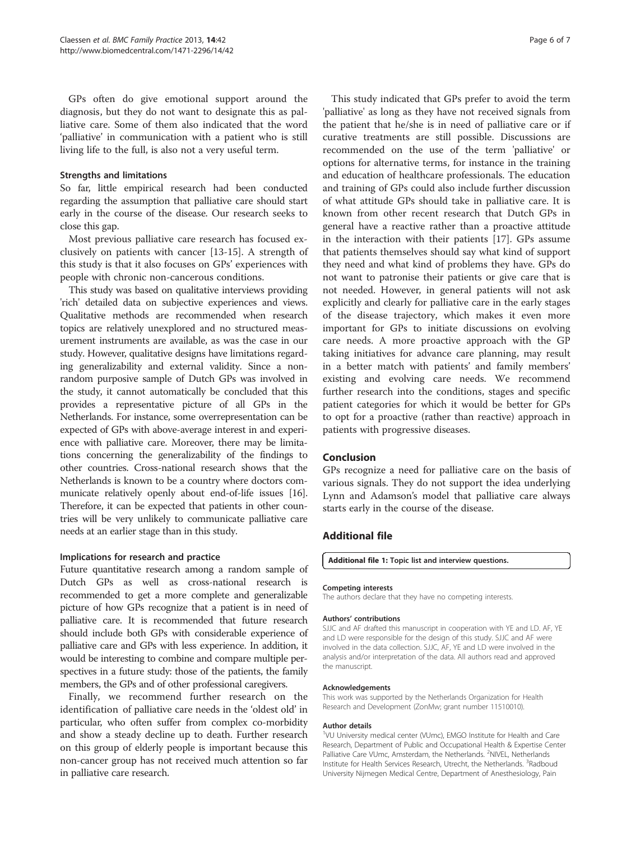<span id="page-5-0"></span>GPs often do give emotional support around the diagnosis, but they do not want to designate this as palliative care. Some of them also indicated that the word 'palliative' in communication with a patient who is still living life to the full, is also not a very useful term.

#### Strengths and limitations

So far, little empirical research had been conducted regarding the assumption that palliative care should start early in the course of the disease. Our research seeks to close this gap.

Most previous palliative care research has focused exclusively on patients with cancer [\[13](#page-6-0)-[15\]](#page-6-0). A strength of this study is that it also focuses on GPs' experiences with people with chronic non-cancerous conditions.

This study was based on qualitative interviews providing 'rich' detailed data on subjective experiences and views. Qualitative methods are recommended when research topics are relatively unexplored and no structured measurement instruments are available, as was the case in our study. However, qualitative designs have limitations regarding generalizability and external validity. Since a nonrandom purposive sample of Dutch GPs was involved in the study, it cannot automatically be concluded that this provides a representative picture of all GPs in the Netherlands. For instance, some overrepresentation can be expected of GPs with above-average interest in and experience with palliative care. Moreover, there may be limitations concerning the generalizability of the findings to other countries. Cross-national research shows that the Netherlands is known to be a country where doctors communicate relatively openly about end-of-life issues [\[16](#page-6-0)]. Therefore, it can be expected that patients in other countries will be very unlikely to communicate palliative care needs at an earlier stage than in this study.

#### Implications for research and practice

Future quantitative research among a random sample of Dutch GPs as well as cross-national research is recommended to get a more complete and generalizable picture of how GPs recognize that a patient is in need of palliative care. It is recommended that future research should include both GPs with considerable experience of palliative care and GPs with less experience. In addition, it would be interesting to combine and compare multiple perspectives in a future study: those of the patients, the family members, the GPs and of other professional caregivers.

Finally, we recommend further research on the identification of palliative care needs in the 'oldest old' in particular, who often suffer from complex co-morbidity and show a steady decline up to death. Further research on this group of elderly people is important because this non-cancer group has not received much attention so far in palliative care research.

This study indicated that GPs prefer to avoid the term 'palliative' as long as they have not received signals from the patient that he/she is in need of palliative care or if curative treatments are still possible. Discussions are recommended on the use of the term 'palliative' or options for alternative terms, for instance in the training and education of healthcare professionals. The education and training of GPs could also include further discussion of what attitude GPs should take in palliative care. It is known from other recent research that Dutch GPs in general have a reactive rather than a proactive attitude in the interaction with their patients [\[17](#page-6-0)]. GPs assume that patients themselves should say what kind of support they need and what kind of problems they have. GPs do not want to patronise their patients or give care that is not needed. However, in general patients will not ask explicitly and clearly for palliative care in the early stages of the disease trajectory, which makes it even more important for GPs to initiate discussions on evolving care needs. A more proactive approach with the GP taking initiatives for advance care planning, may result in a better match with patients' and family members' existing and evolving care needs. We recommend further research into the conditions, stages and specific patient categories for which it would be better for GPs to opt for a proactive (rather than reactive) approach in patients with progressive diseases.

#### Conclusion

GPs recognize a need for palliative care on the basis of various signals. They do not support the idea underlying Lynn and Adamson's model that palliative care always starts early in the course of the disease.

## Additional file

[Additional file 1:](http://www.biomedcentral.com/content/supplementary/1471-2296-14-42-S1.doc) Topic list and interview questions.

#### Competing interests

The authors declare that they have no competing interests.

#### Authors' contributions

SJJC and AF drafted this manuscript in cooperation with YE and LD. AF, YE and LD were responsible for the design of this study. SJJC and AF were involved in the data collection. SJJC, AF, YE and LD were involved in the analysis and/or interpretation of the data. All authors read and approved the manuscript.

#### Acknowledgements

This work was supported by the Netherlands Organization for Health Research and Development (ZonMw; grant number 11510010).

#### Author details

<sup>1</sup>VU University medical center (VUmc), EMGO Institute for Health and Care Research, Department of Public and Occupational Health & Expertise Center Palliative Care VUmc, Amsterdam, the Netherlands. <sup>2</sup>NIVEL, Netherlands Institute for Health Services Research, Utrecht, the Netherlands. <sup>3</sup>Radboud University Nijmegen Medical Centre, Department of Anesthesiology, Pain